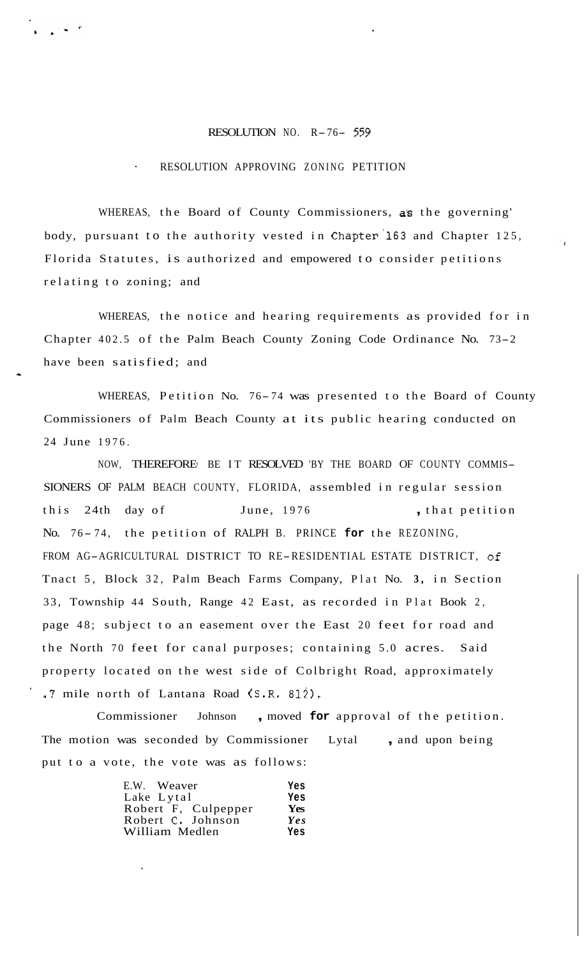## RESOLUTION NO. R-76- *<sup>559</sup>*

## ' RESOLUTION APPROVING ZONING PETITION

WHEREAS, the Board of County Commissioners, as the governing' body, pursuant to the authority vested in Chapter'l63 and Chapter 125, Florida Statutes, is authorized and empowered to consider petitions relating to zoning; and

WHEREAS, the notice and hearing requirements as provided for in Chapter 402.5 of the Palm Beach County Zoning Code Ordinance No. 73-2 have been satisfied; and

\*

WHEREAS, Petition No. 76-74 was presented to the Board of County Commissioners of Palm Beach County at its public hearing conducted on 24 June 1976.

NOW, THEREFORE BE IT RESOLVED BY THE BOARD OF COUNTY COMMIS-SIONERS OF PALM BEACH COUNTY, FLORIDA, assembled in regular session this 24th day of June, 1976 , that petition No. 76-74, the petition of RALPH B. PRINCE for the REZONING, FROM AG-AGRICULTURAL DISTRICT TO RE-RESIDENTIAL ESTATE DISTRICT, of Tnact 5, Block 32, Palm Beach Farms Company, Plat No. **3,** in Section 33, Township 44 South, Range 42 East, as recorded in Plat Book 2, page 48; subject to an easement over the East 20 feet for road and the North 70 feet for canal purposes; containing 5.0 acres. Said property located on the west side of Colbright Road, approximately .7 mile north of Lantana Road (S.R. 812).

Commissioner Johnson , moved **for** approval of the petition. The motion was seconded by Commissioner Lytal, and upon being put to a vote, the vote was as follows:

| E.W. Weaver         | Yes        |
|---------------------|------------|
| Lake Lytal          | Yes        |
| Robert F, Culpepper | <b>Yes</b> |
| Robert C. Johnson   | Yes        |
| William Medlen      | Yes        |